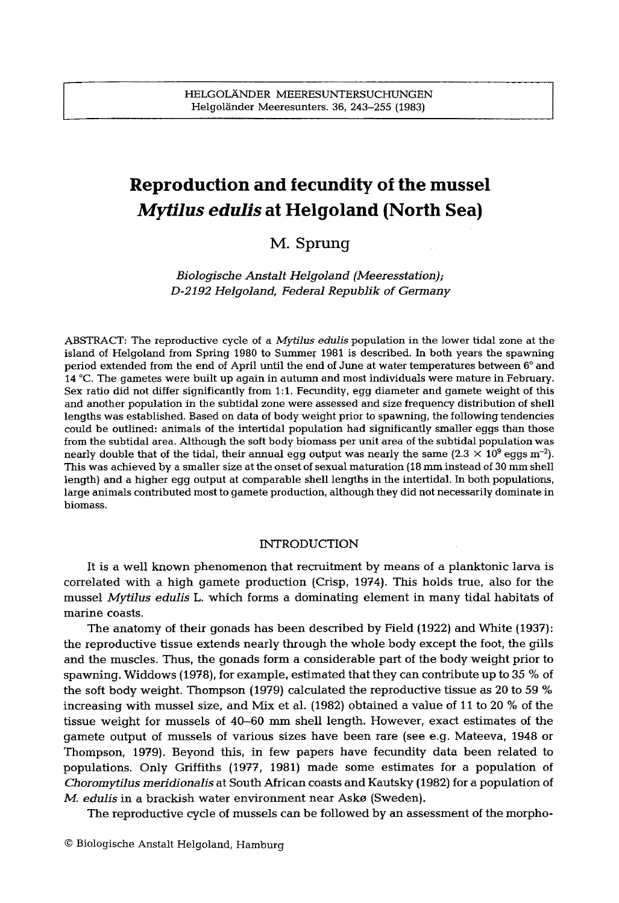# **Reproduction and fecundity of the mussel**  *Mytilus edulis* **at Helgoland (North Sea)**

## **M. Sprung**

*Blologlsche Anstalt HelgoIand (Meeresstatlon); D-2192 Helgoland, Federal Repub]ik of Germany* 

ABSTRACT: The reproductive cycle of a *Mytilus edulis* population in the lower tidal zone at the island of Helgoland from Spring 1980 to Summer 1981 is described. In both years the spawning period extended from the end of April until the end of June at water temperatures between 6° and 14 °C. The gametes were built up again in autumn and most individuals were mature in February. Sex ratio did not differ significantly from 1:1. Fecundity, egg diameter and gamete weight of this and another population in the subtidal zone were assessed and size frequency distribution of **shell lengths** was established. Based on data of body weight prior to spawning, the following tendencies could be outlined: animals of the intertidal population had significantly smaller eggs than those from the subtidal area. Although the soft body biomass per unit area of the subtidal population was nearly double that of the tidal, their annual egg output was nearly the same  $(2.3 \times 10^9 \text{ eggs m}^{-2})$ . This was achieved by a smaller size at the onset of sexual maturation (18 mm instead of 30 mm shell length) and a higher egg output at comparable shell lengths in the intertidal, tn both populations, large animals contributed most to gamete production, although they did not necessarily dominate in biomass.

### INTRODUCTION

It is a well known phenomenon that recruitment by means of a planktonic larva is correlated with a high gamete production (Crisp, 1974). This holds true, also for the mussel *Mytilus edulis* L. which forms a dominating element in many tidal habitats of marine coasts.

The anatomy of their gonads has been described by Field (1922) and White (1937): the reproductive tissue extends nearly through the whole body except the foot, the gills and the muscles. Thus, the gonads form a considerable part of the body weight prior to spawning. Widdows (1978), for example, estimated that they can contribute up to 35 % of the soft body weight. Thompson (1979) calculated the reproductive tissue as 20 to 59 % increasing with mussel size, and Mix et al. (1982) obtained a value of 11 to 20 % of the tissue weight for mussels of 40-60 mm shell length. However, exact estimates of the gamete output of mussels of various sizes have been rare (see e.g. Mateeva, 1948 or Thompson, 1979). Beyond this, in few papers have fecundity data been related to populations. Only Griffiths (1977, 1981) made some estimates for a population of *Choromytilus meridionalis* at South African coasts and Kautsky (1982) for a population of *M. edulis* in a brackish water environment near Askø (Sweden).

The reproductive cycle of mussels can be followed by an assessment of the morpho-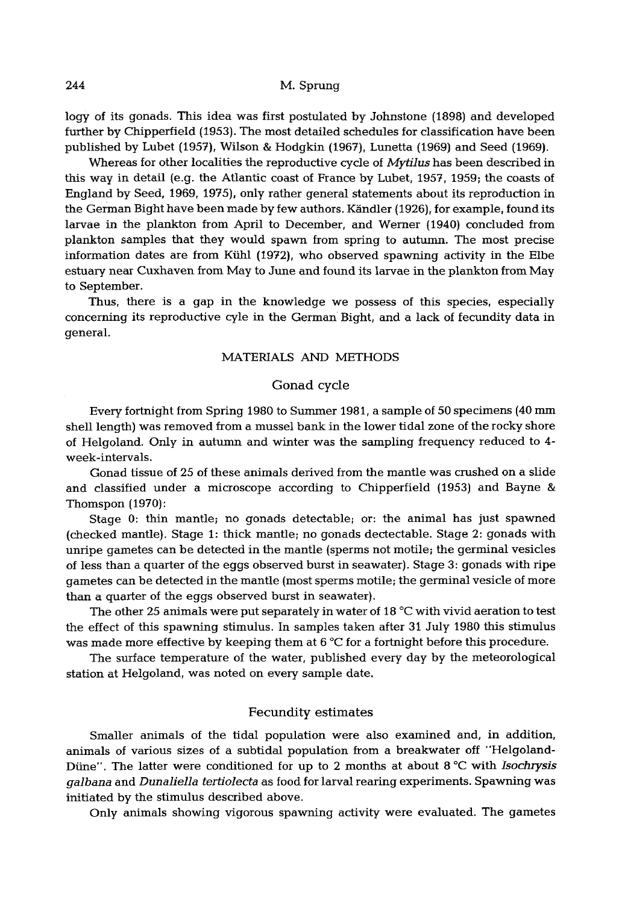logy of its gonads. This idea was first postulated by Johnstone (1898) and developed further by Chipperfield (1953). The most detailed schedules for classification have been published by Lubet (1957), Wilson & Hodgkin (1967), Lunetta (1969) and Seed (1969).

Whereas for other localities the reproductive cycle of *Mytllus* has been described in this way in detail (e.g. the Atlantic coast of Prance by Lubet, 1957, 1959; the coasts of England by Seed, 1969, 1975), only rather general statements about its reproduction in the German Bight have been made by few authors. Kändler (1926), for example, found its larvae in the plankton from April to December, and Werner (1940) concluded from plankton samples that they would spawn from spring to autumn. The most precise information dates are from Kühl (1972), who observed spawning activity in the Elbe estuary near Cuxhaven from May to June and found its larvae in the plankton from May to September.

Thus, there is a gap in the knowledge we possess of this species, especially concerning its reproductive cyle in the German Bight, and a lack of fecundity data in general.

## MATERIALS AND METHODS

## Gonad cycle

Every fortnight from Spring 1980 to Summer 1981, a sample of 50 specimens (40 mm shell length) was removed from a mussel bank in the lower tidal zone of the rocky shore of Helgoland. Only in autumn and winter was the sampling frequency reduced to 4 week-intervals.

Gonad tissue of 25 of these animals derived from the mantle was crushed on a slide and classified under a microscope according to Chipperfield (1953) and Bayne & Thomspon (1970):

Stage 0: thin mantle; no gonads detectable; or: the animal has just spawned (checked mantle). Stage I: thick mantle; no gonads dectectable. Stage 2: gonads with unripe gametes can be detected in the mantle (sperms not motile; the germinal vesicles of less than a quarter of the eggs observed burst in seawater). Stage 3: gonads with ripe gametes can be detected in the mantle (most sperms motile; the germinal vesicle of more than a quarter of the eggs observed burst in seawater).

The other 25 animals were put separately in water of 18 °C with vivid aeration to test the effect of this spawning stimulus. In samples taken after 31 July 1980 this stimulus was made more effective by keeping them at 6 °C for a fortnight before this procedure.

The surface temperature of the water, published every day by the meteorological station at Helgoland, was noted on every sample date.

## Fecundity estimates

Smaller animals of the tidal population were also examined and, in addition, animals of various sizes of a subtidal population from a breakwater off "Helgoland-Diine". The latter were conditioned for up to 2 months at about 8 °C with *Isochrysis galbana* and *Dunaliella tertiolecta* as food for larval rearing experiments. Spawning was initiated by the stimulus described above.

Only animals showing vigorous spawning activity were evaluated. The gametes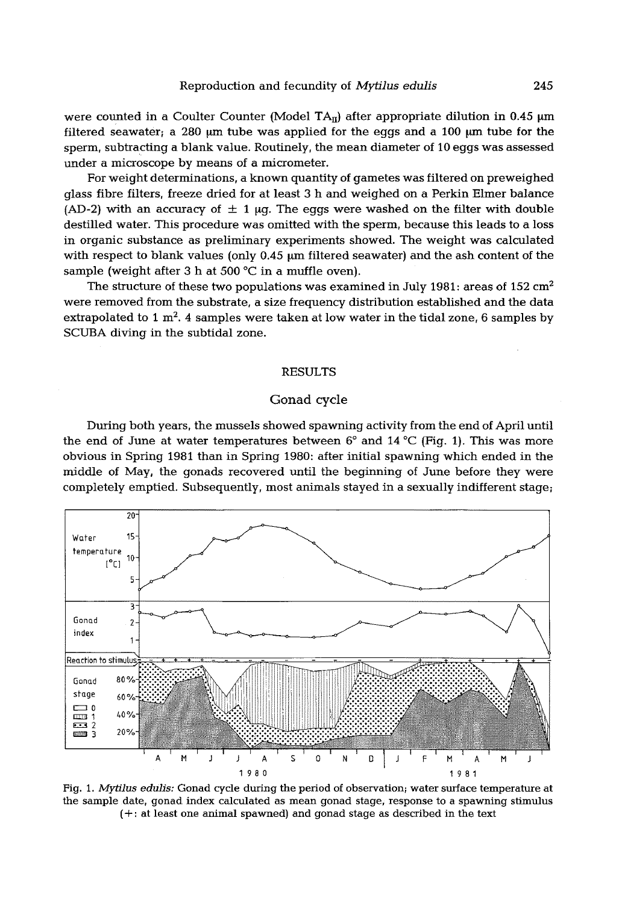were counted in a Coulter Counter (Model TA<sub>II</sub>) after appropriate dilution in 0.45  $\mu$ m filtered seawater; a 280  $\mu$ m tube was applied for the eggs and a 100  $\mu$ m tube for the sperm, subtracting a blank value. Routinely, the mean diameter of 10 eggs was assessed under a microscope by means of a micrometer.

For weight determinations, a known quantity of gametes was filtered on preweighed glass fibre filters, freeze dried for at least 3 h and weighed on a Perkin Elmer balance (AD-2) with an accuracy of  $\pm$  1  $\mu$ g. The eggs were washed on the filter with double destilled water. This procedure was omitted with the sperm, because this leads to a loss in organic substance as preliminary experiments showed. The weight was calculated with respect to blank values (only  $0.45$   $\mu$ m filtered seawater) and the ash content of the sample (weight after 3 h at 500  $^{\circ}$ C in a muffle oven).

The structure of these two populations was examined in July 1981: areas of  $152 \text{ cm}^2$ were removed from the substrate, a size frequency distribution established and the data extrapolated to 1  $m^2$ . 4 samples were taken at low water in the tidal zone, 6 samples by SCUBA diving in the subtidal zone.

#### RESULTS

## Gonad cycle

During both years, the mussels showed spawning activity from the end of April until the end of June at water temperatures between  $6^{\circ}$  and  $14^{\circ}C$  (Fig. 1). This was more obvious in Spring 1981 than in Spring 1980: after initial spawning which ended in the middle of *May, the* gonads recovered until the beginning of June before they were completely emptied. Subsequently, most animals stayed in a sexually indifferent stage;



Fig. 1. *Mytflus edulis:* Gonad cycle during the period of observation; water surface temperature at the sample date, gonad index calculated as mean gonad stage, response to a spawning stimulus (+: at least one animal spawned} and gonad stage as described in the text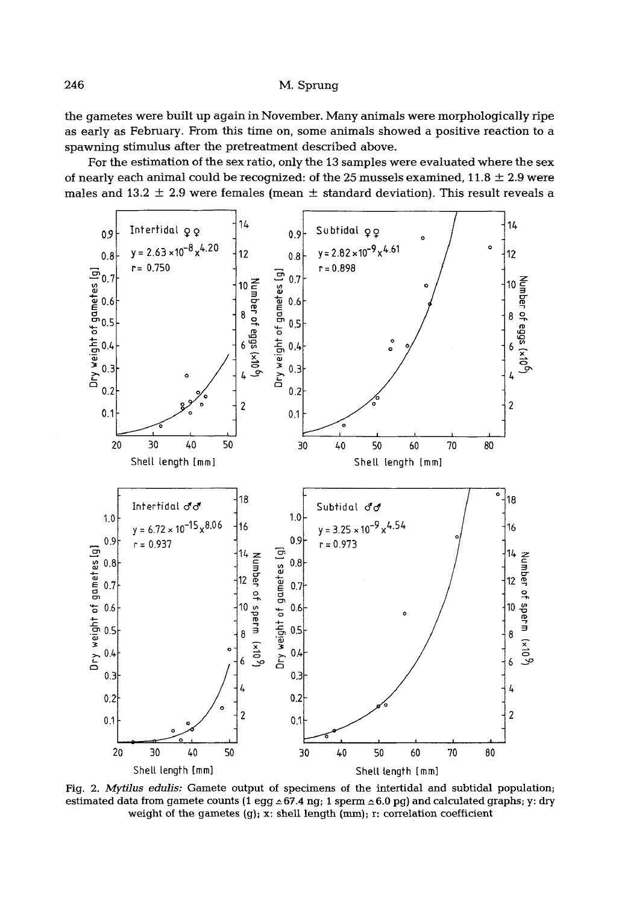246 M. Sprung

the gametes were built up again in November. Many animals were morphologically ripe as early as February. From this time on, some animals showed a positive reaction to a spawning stimulus after the pretreatment described above.

For the estimation of the sex ratio, only the 13 samples were evaluated where the sex of nearly each animal could be recognized: of the 25 mussels examined,  $11.8 \pm 2.9$  were males and 13.2  $\pm$  2.9 were females (mean  $\pm$  standard deviation). This result reveals a



Fig. 2. *Mytilus edulis:* Gamete output of specimens of the intertidal and subtidal population; estimated data from gamete counts (1 egg  $\leq 67.4$  ng; 1 sperm  $\leq 6.0$  pg) and calculated graphs; y: dry weight of the gametes  $(g)$ ; x: shell length  $(mm)$ ; r: correlation coefficient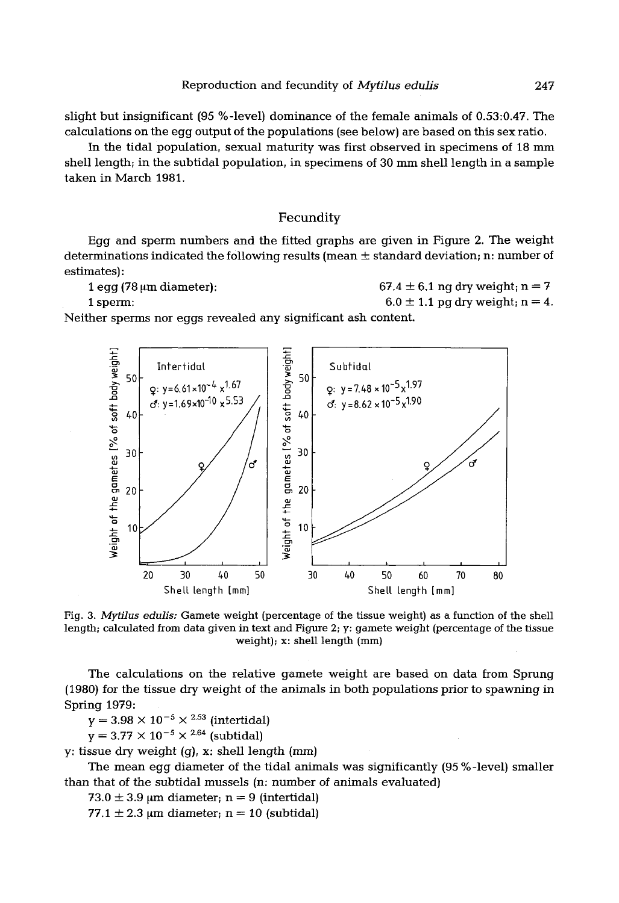slight but insignificant (95 %-level) dominance of the female animals of 0.53:0.47. The calculations on the egg output of the populations (see below) are based on this sex ratio.

In the tidal population, sexual maturity was first observed in specimens of 18 mm shell length; in the subtidal population, in specimens of 30 mm shell length in a sample taken in March 1981.

## Fecundity

Egg and sperm numbers and the fitted graphs are given in Figure 2. The weight determinations indicated the following results (mean ± standard deviation; n: number of estimates):

```
1 egg (78 \mum diameter): 67.4 \pm 6.1 ng dry weight; n = 7
```
1 sperm:  $6.0 \pm 1.1$  pg dry weight; n = 4.

Neither sperms nor eggs revealed any significant ash content.



Fig. 3. *Mytilus edulis:* Gamete weight (percentage of the tissue weight) as a function of the shell length; calculated from data given in text and Figure 2; y: gamete weight (percentage of the tissue weight); x: shell length (mm)

The calculations on the relative gamete weight are based on data from Sprung (1980) *for* the tissue dry weight of the animals in both populations prior to spawning in Spring 1979:

 $y = 3.98 \times 10^{-5} \times 2.53$  (intertidal)

 $y = 3.77 \times 10^{-5} \times 2.64$  (subtidal)

y: tissue dry weight  $(q)$ , x: shell length  $(mm)$ 

The mean egg diameter of the tidal animals was significantly (95 %-level) smaller than that of the subtidal mussels (n: number of animals evaluated)

 $73.0 \pm 3.9$  µm diameter; n = 9 (intertidal)

77.1  $\pm$  2.3 µm diameter; n = 10 (subtidal)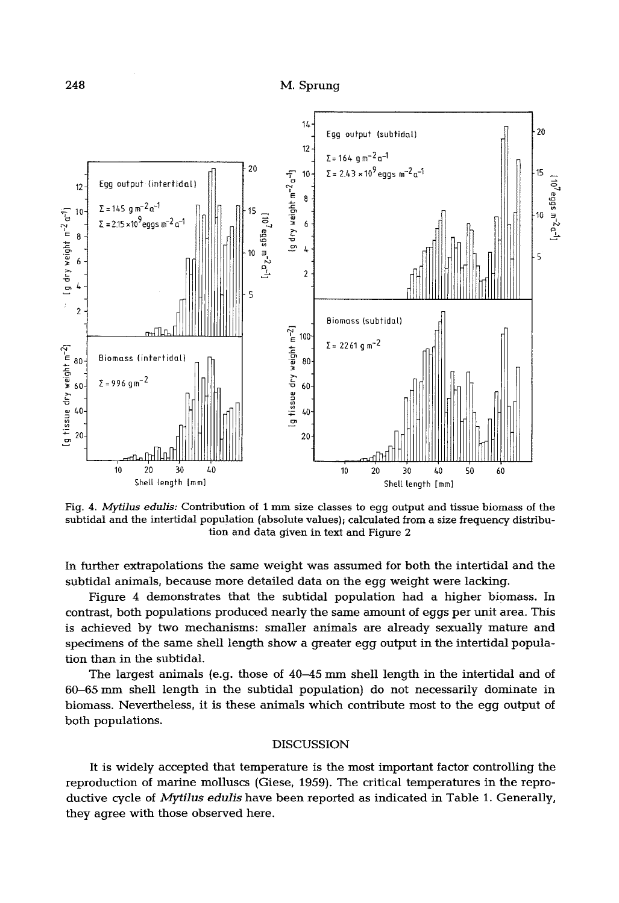

**Fig. 4.** *Mytilus edulis:* **Contribution of 1 mm size classes to egg output and tissue biomass of the subtidal and the intertidal population (absolute values); calculated from a size frequency distribution and data given in text and Figure 2** 

**In further extrapolations the same weight was assumed for both the intertidal and the subtidal animals, because more detailed data on the egg weight were lacking.** 

**Figure 4 demonstrates that the subtidal population had a higher biomass. In contrast, both populations produced nearly the same amount of eggs per unit area. This is achieved by two mechanisms: smaller animals are already sexually mature and specimens of the same shell length show a greater egg output in the intertidal population than in the subtidal.** 

**The largest animals (e.g. those of 40-45 mm shell length in the intertidal and of 60-65 mm shell length in the subtidal population) do not necessarily dominate in biomass. Nevertheless, it is these animals which contribute most to the egg output of both populations.** 

#### **DISCUSSION**

**It is widely accepted that temperature is the most important factor controlling the reproduction of marine molluscs (Giese, 1959). The critical temperatures in the reproductive cycle of** *Mytilus edulis* **have been reported as indicated in Table 1. Generally, they agree with those observed here.**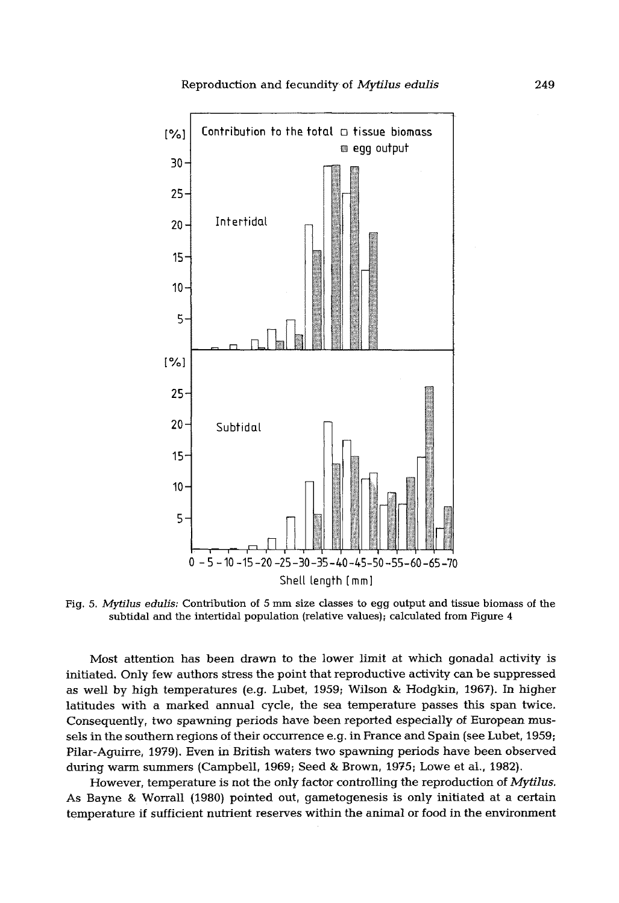

Fig. *5. Mytilus edulis:* Contribution of 5 mm size classes to egg output and tissue biomass of the subtidal and the intertidal population (relative values); calculated from Figure  $4$ 

Most attention has been drawn to the lower limit at which gonadal activity is initiated. Only few authors stress the point that reproductive activity can be suppressed as well by high temperatures (e.g. Lubet, 1959; Wilson & Hodgkin, 1967). In higher latitudes with a marked annual cycle, the sea temperature passes this span twice. Consequently, two spawning periods have been reported especially of European mussels in the southern regions of their occurrence e.g. in France and Spain (see Lubet, 1959; Pilar-Aguirre, 1979). Even in British waters two spawning periods have been observed during warm summers (Campbell, 1969; Seed & Brown, 1975; Lowe et al., 1982}.

However, temperature is not the only factor controlling the reproduction of *Mytllus.*  As Bayne & Worrall (1980) pointed out, gametogenesis is only initiated at a certain temperature if sufficient nutrient reserves within the animal or food in the environment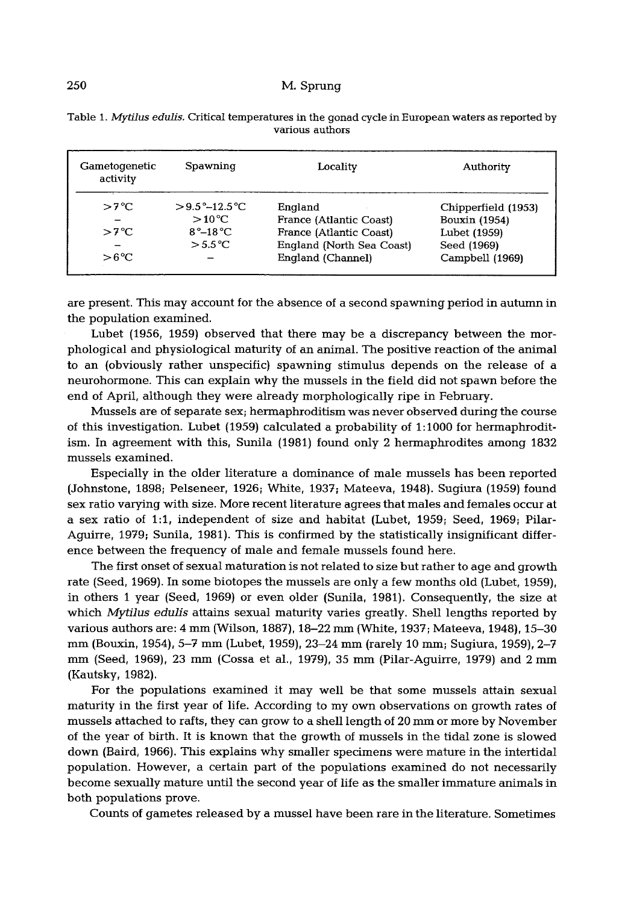## 250 M. Sprung

| Gametogenetic<br>activity                       | Spawning                                                                                 | Locality                                                                                                        | Authority                                                                              |
|-------------------------------------------------|------------------------------------------------------------------------------------------|-----------------------------------------------------------------------------------------------------------------|----------------------------------------------------------------------------------------|
| $>7^{\circ}C$<br>$>7^{\circ}C$<br>$>6^{\circ}C$ | $>9.5^{\circ}-12.5^{\circ}C$<br>$>10^{\circ}$ C<br>$R^{\circ}-1R^{\circ}C$<br>$> 5.5$ °C | England<br>France (Atlantic Coast)<br>France (Atlantic Coast)<br>England (North Sea Coast)<br>England (Channel) | Chipperfield (1953)<br>Bouxin (1954)<br>Lubet (1959)<br>Seed (1969)<br>Campbell (1969) |

|  | Table 1. Mytilus edulis. Critical temperatures in the gonad cycle in European waters as reported by |                 |  |
|--|-----------------------------------------------------------------------------------------------------|-----------------|--|
|  |                                                                                                     | various authors |  |

are present. This may account for the absence of a second spawning period in autumn in the population examined.

Lubet (1956, 1959) observed that there may be a discrepancy between the morphological and physiological maturity of an animal. The positive reaction of the animal to an (obviously rather unspecific) spawning stimulus depends on the release of a neurohormone. This can explain why the mussels in the field did not spawn before the end of April, although they were already morphologically ripe in February.

Mussels are of separate sex; hermaphroditism was never observed during the course of this investigation. Lubet {1959} calculated a probability of 1:1000 for hermaphroditism. In agreement with this, Sunila (1981) found only 2 hermaphrodites among 1832 mussels examined.

Especially in the older literature a dominance of male mussels has been reported (Johnstone, 1898; Pelseneer, 1926; White, 1937; Mateeva, 1948). Sugiura (1959) found sex ratio varying with size. More recent literature agrees that males and females occur at a sex ratio of 1:1, independent of size and habitat (Lubet, 1959; Seed, 1969; Pilar-Aguirre, 1979; Sunila, 1981). This is confirmed by the statistically insignificant difference between the frequency of male and female mussels found here.

The first onset of sexual maturation is not related to size but rather to age and growth rate (Seed, 1969). In some biotopes the mussels are only a few months old (Lubet, 1959), in others 1 year (Seed, 1969) or even older (Sunila, 1981). Consequently, the size at which *Mytilus edulis* attains sexual maturity varies greatly. Shell lengths reported by various authors are: 4 mm (Wilson, 1887), 18-22 mm (White, 1937; Mateeva, 1948), 15-30 mm (Bouxin, 1954), 5-7 mm (Lubet, 1959), 23-24 mm (rarely 10 mm; Sugiura, 1959), 2-7 mm (Seed, 1969), 23 mm (Cossa et al., 1979), 35 mm (Pilar-Aguirre, 1979) and 2 mm (Kautsky, 1982).

For the populations examined it may well be that some mussels attain sexual maturity in the first year of life. According to my own observations on growth rates of mussels attached to rafts, they can grow to a shell length of 20 mm or more by November of the year of birth. It is known that the growth of mussels in the tidal zone is slowed down (Baird, 1966). This explains why smaller specimens were mature in the intertidal population. However, a certain part of the populations examined do not necessarily become sexually mature until the second year of life as the smaller immature animals in both populations prove.

Counts of gametes released by a mussel have been rare in the literature. Sometimes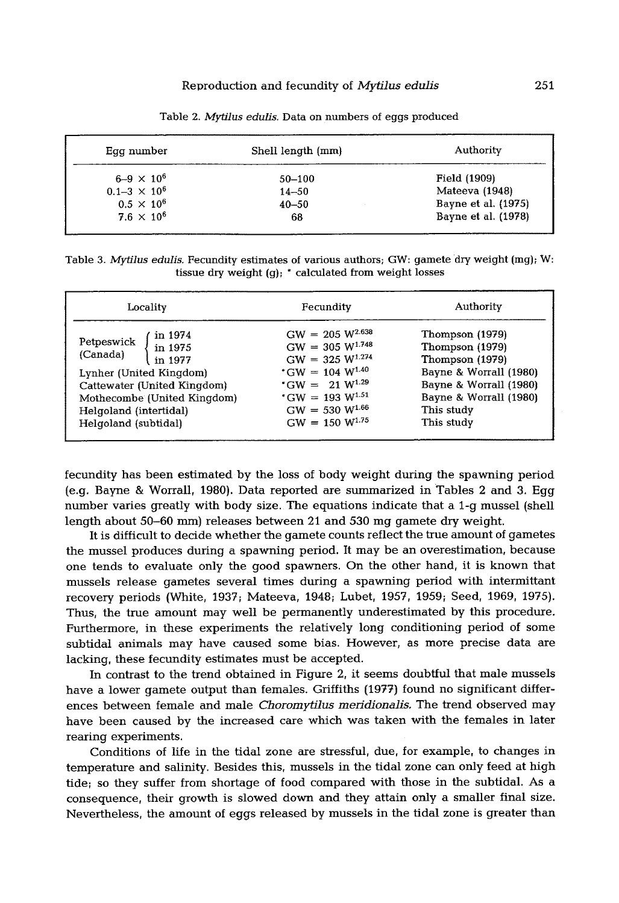| Egg number            | Shell length (mm) | Authority           |
|-----------------------|-------------------|---------------------|
| $6 - 9 \times 10^6$   | $50 - 100$        | Field (1909)        |
| $0.1 - 3 \times 10^6$ | $14 - 50$         | Mateeva (1948)      |
| $0.5 \times 10^{6}$   | $40 - 50$         | Bayne et al. (1975) |
| $7.6 \times 10^6$     | 68                | Bayne et al. (1978) |
|                       |                   |                     |

Table 2. *Mytilus edulis.* Data on numbers of eggs produced

Table 3. Mytilus edulis. Fecundity estimates of various authors; GW: gamete dry weight (mg); W: tissue dry weight (g); \* calculated from weight losses

| Locality                                                                                                                                                                                           | Fecundity                                                                                                                                                                                                      | Authority                                                                                                                                                       |
|----------------------------------------------------------------------------------------------------------------------------------------------------------------------------------------------------|----------------------------------------------------------------------------------------------------------------------------------------------------------------------------------------------------------------|-----------------------------------------------------------------------------------------------------------------------------------------------------------------|
| in 1974<br>Petpeswick<br>in 1975<br>(Canada)<br>in 1977<br>Lynher (United Kingdom)<br>Cattewater (United Kingdom)<br>Mothecombe (United Kingdom)<br>Helgoland (intertidal)<br>Helgoland (subtidal) | $GW = 205 W^{2.638}$<br>$GW = 305 W^{1.748}$<br>$GW = 325 W^{1.274}$<br>$*$ GW = 104 W <sup>1.40</sup><br>* GW = 21 $W^{1.29}$<br>$*$ GW = 193 W <sup>1.51</sup><br>$GW = 530 W^{1.66}$<br>$GW = 150 W^{1.75}$ | Thompson (1979)<br>Thompson (1979)<br>Thompson (1979)<br>Bayne & Worrall (1980)<br>Bayne & Worrall (1980)<br>Bayne & Worrall (1980)<br>This study<br>This study |

fecundity has been estimated by the loss of body weight during the spawning period (e.g. Bayne & Worrall, 1980). Data reported are summarized in Tables 2 and 3. Egg number varies greatly with body size. The equations indicate that a 1-g mussel (shell length about 50-60 mm) releases between 21 and 530 mg gamete dry weight.

It is difficult to decide whether the gamete counts reflect the true amount of gametes the mussel produces during a spawning period. It may be an overestimation, because one tends to evaluate only the good spawners. On the other hand, it is known that mussels release gametes several times during a spawning period with intermittant recovery periods (White, 1937; Mateeva, 1948; Lubet, 1957, 1959; Seed, 1969, 1975). Thus, the true amount may well be permanently underestimated by this procedure. Furthermore, in these experiments the relatively long conditioning period of some subtidal animals may have caused some bias. However, as more precise data are lacking, these fecundity estimates must be accepted.

In contrast to the trend obtained in Figure 2, it seems doubtful that male mussels have a lower gamete output than females. Griffiths (1977) found no significant differences between female and male *Choromytilus meridionalis.* The trend observed may have been caused by the increased care which was taken with the females in later rearing experiments.

Conditions of life in the tidal zone are stressful, due, for example, to changes in temperature and salinity. Besides this, mussels in the tidal zone can only feed at high tide; so they suffer from shortage of food compared with those in the subtidal. As a consequence, their growth is slowed down and they attain only a smaller final size. Nevertheless, the amount of eggs released by mussels in the tidal zone is greater than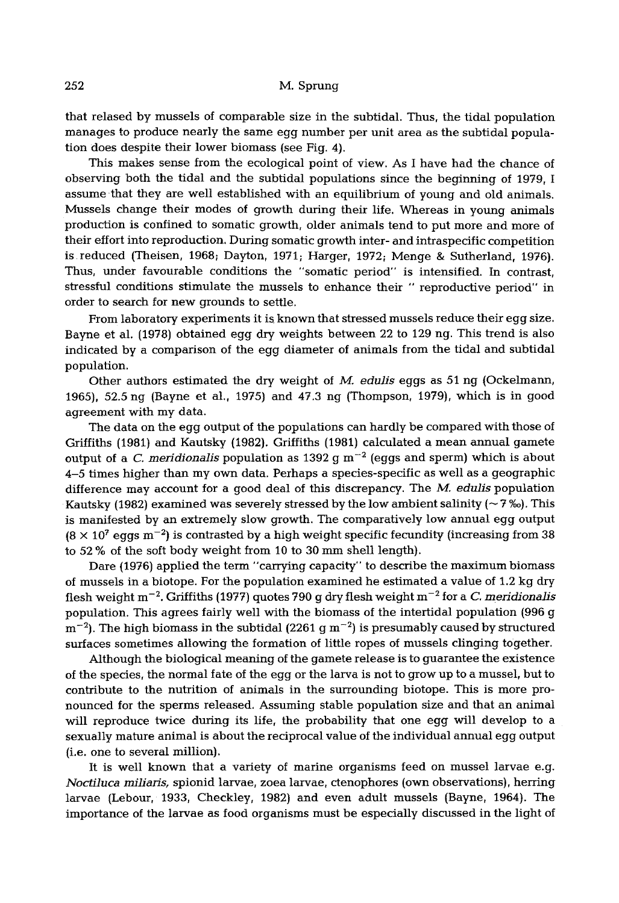that relased by mussels of comparable size in the subtidal. Thus, the tidal population manages to produce nearly the same egg number per unit area as the subtidal population does despite their lower biomass (see Fig. 4).

This makes sense from the ecological point of view: As I have had the chance of observing both the tidal and the subtidal populations since the beginning of 1979, I assume that they are well established with an equilibrium of young and old animals. Mussels change their modes of growth during their life. Whereas in young animals production is confined to somatic growth, older animals tend to put more and more of their effort into reproduction, During somatic growth inter- and intraspecific competition is reduced (Theisen, 1968; Dayton, 1971; Harger, 1972; Menge & Sutherland, 1976). Thus, under favourable conditions the "somatic period" is intensified. In contrast, stressful conditions stimulate the mussels to enhance their " reproductive period" in order to search for new grounds to settle.

From laboratory experiments it is known that stressed mussels reduce their egg size. Bayne et al. (1978} obtained egg dry weights between 22 to 129 ng. This trend is also indicated by a comparison of the egg diameter of animals from the tidal and subtidal population.

Other authors estimated the dry weight of M. *edulis* eggs as 51 ng (Ockelmann, 1965}, 52.5 ng (Bayne et al., 1975) and 47.3 ng (Thompson, 1979), which is in good agreement with my data.

The data on the egg output of the populations can hardly be compared with those of Griffiths (1981} and Kautsky (1982}. Griffiths (1981) calculated a mean annual gamete output of a *C. meridionalis* population as 1392  $q$  m<sup> $-2$ </sup> (eqgs and sperm) which is about 4-5 times higher than my own data. Perhaps a species-specific as well as a geographic difference may account for a good deal of this discrepancy. *The M. edulis* population Kautsky (1982) examined was severely stressed by the low ambient salinity ( $\sim$  7%). This is manifested by an extremely slow growth. The comparatively low annual egg output  $(8 \times 10^7 \text{ eggs m}^{-2})$  is contrasted by a high weight specific fecundity (increasing from 38) to 52 % of the soft body weight from 10 to 30 mm shell length}.

Dare (1976) applied the term "carrying capacity" to describe the maximum biomass of mussels in a biotope. For the population examined he estimated a value of 1.2 kg dry flesh weight m -2. Griffiths (1977} quotes 790 g dry flesh weight m -2 for *a C. meridionalls*  population. This agrees fairly well with the biomass of the intertidal population (996 g  $m^{-2}$ ). The high biomass in the subtidal (2261 g  $m^{-2}$ ) is presumably caused by structured surfaces sometimes allowing the formation of little ropes of mussels clinging together.

Although the biological meaning of the gamete release is to guarantee the existence of the species, the normal fate of the egg or the larva is not to grow up to a mussel, but to contribute to the nutrition of animals in the surrounding biotope. This is more pronounced for the sperms released. Assuming stable population size and that an animal will reproduce twice during its life, the probability that one egg will develop to a sexually mature animal is about the reciprocal value of the individual annual egg output (i.e. one to several million}.

It is well known that a variety of marine organisms feed on mussel larvae e.g. *Noctiluca miliarls,* spionid larvae, zoea larvae, ctenophores (own observations), herring larvae (Lebour, 1933, Checkley, 1982) and even adult mussels (Bayne, 1964}. The importance of the larvae as food organisms must be especially discussed in the light of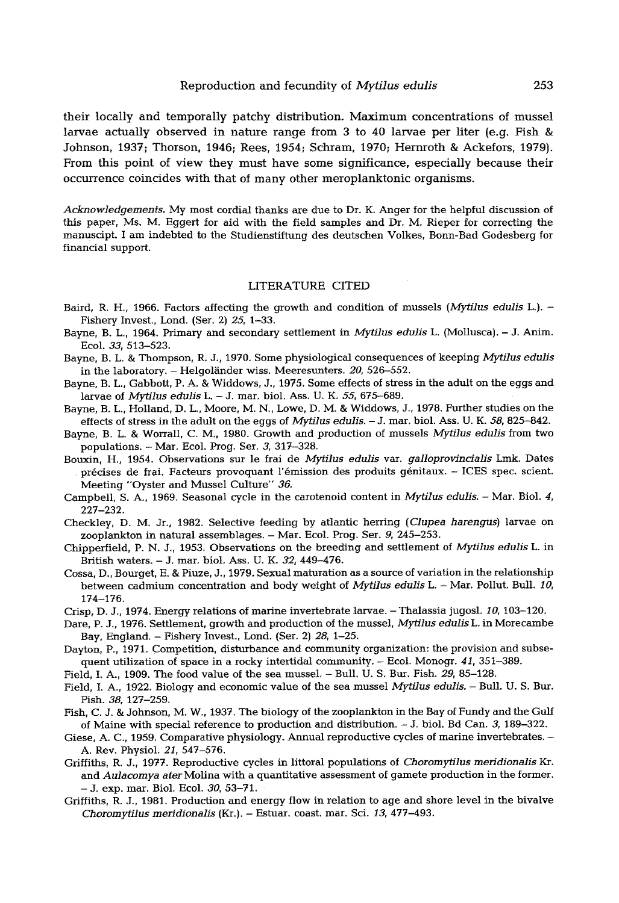their locally and temporally patchy distribution. Maximum concentrations of mussel larvae actually observed in nature range from 3 to 40 larvae per liter (e.g. Fish & Johnson, 1937; Thorson, 1946; Rees, 1954; Schram, 1970; Hernroth & Ackefors, 1979). From this point of view they must have some significance, especially because their occurrence coincides with that of many other meroplanktonic organisms.

*Acknowledgements.* My most cordial thanks are due to Dr. K. Anger for the helpful discussion of this paper, Ms. M. Eggert for aid with the field samples and Dr. M. Rieper for correcting the manuscipt. I am indebted to the Studienstiftung des deutschen Volkes, Bonn-Bad Godesberg for financial support.

### LITERATURE CITED

- Baird, R. H., 1966. Factors affecting the growth and condition of mussels *(Mytilus edulis* L.). Fishery Invest., Lond. (Ser. 2) *25,* 1-33.
- Bayne, B. L., 1964. Primary and secondary settlement in *Mytilus edulis* L. (Mollusca). J. Anim. Ecol. *33,* 513-523.
- Bayne, B. L. & Thompson, R. J., 1970. Some physiological consequences of keeping *Mytilus edulis* in the laboratory. - Helgoländer wiss. Meeresunters. 20, 526-552.
- Bayne, B. L, Gabbott, P. A. & Widdows, J., 1975. Some effects of stress in the adult on the eggs and larvae of *Mytilus edulis* L. - J. mar. biol. Ass. U. K. *55,* 675-689.
- Bayne, B. L, Holland, D. L., Moore, M. N., Lowe, D. M. & Widdows, J, 1978. Further studies on the effects of stress in the adult on the eggs of *Mytilus edulis.*  $-$  J. mar. biol. Ass. U. K. 58, 825-842.
- Bayne, B. L. & Worrall, C. M., 1980. Growth and production of mussels *Mytilus edulis* from two populations. - Mar. Ecol. Frog. Ser. 3, 317-328.
- Bouxin, H., 1954. Observations sur le frai de *Mytilus edulis* var. *galloprovincialis* Lmk. Dates précises de frai. Facteurs provoquant l'émission des produits génitaux. - ICES spec. scient. Meeting "Oyster and Mussel Culture" 36.
- Campbell, S. A, 1969. Seasonal cycle in the carotenoid content in *Mytilus edulis. Mar.* Biol. 4, 227-232.
- Checkley, D. M. Jr., 1982. Selective feeding by atlantic herring *(Clupea harengus)* larvae on zooplankton in natural assemblages. - Mar. Ecol. Prog. Ser. 9, 245-253.
- Chipperfield, P. N. J, 1953. Observations on the breeding and settlement of *Mytilus edulis* L in British waters. - J. mar. biol. Ass. U. K. *32,* 449-476.
- Cossa, D., Bourget, E. & Piuze, J., 1979. Sexual maturation as a source of variation in the relationship between cadmium concentration and body weight of *Mytilus edulis* L. - Mar. Pollut. Bull. 10, 174-176.
- Crisp, D. J., 1974. Energy relations of marine invertebrate larvae. Thalassia jugosl. *10,* 103-120.
- Dare, P. J., 1976. Settlement, growth and production of the mussel, *Mytilus edulis* L. in Morecambe Bay, England. - Fishery Invest., Lond. (Ser. 2) *28,* 1-25.
- Dayton, P., 1971. Competition, disturbance and community organization: the provision and subsequent utilization of space in a rocky intertidal community. - Ecol. Monogr. *41,* 351-389.
- Field, I. A., 1909. The food value of the sea mussel Bull. U. S. Bur. Fish. *29,* 85-128.
- Field, I. A., 1922. Biology and economic value of the sea mussel *MFtilus edulis.* Bull. U. S. Bur. Fish. *38,* 127-259.
- Fish, C. J. & Johnson, M. W., 1937. The biology of the zooplankton in the Bay of Fundy and the Gulf of Maine with special reference to production and distribution. - J. biol. Bd Can. 3, 189-322.
- Giese, A. C., 1959. Comparative physiology. Annual reproductive cycles of marine invertebrates. A. Rev. Physiol. *21,* 547-576.
- Griffiths, R. J., 1977. Reproductive cycles in littoral populations of *Choromytilus meridionalis Kr.*  and *Aulacomya ater* Molina with a quantitative assessment of gamete production in the former. **-** J. exp. mar. Biol. Ecol. *30,* 53-71,
- Griffiths, R. J., 1981. Production and energy flow in relation to age and shore level in the bivalve *Choromytilus meridionalis* (Kr.). - Estuar. coast, mar. Sci. *13,* 477-493.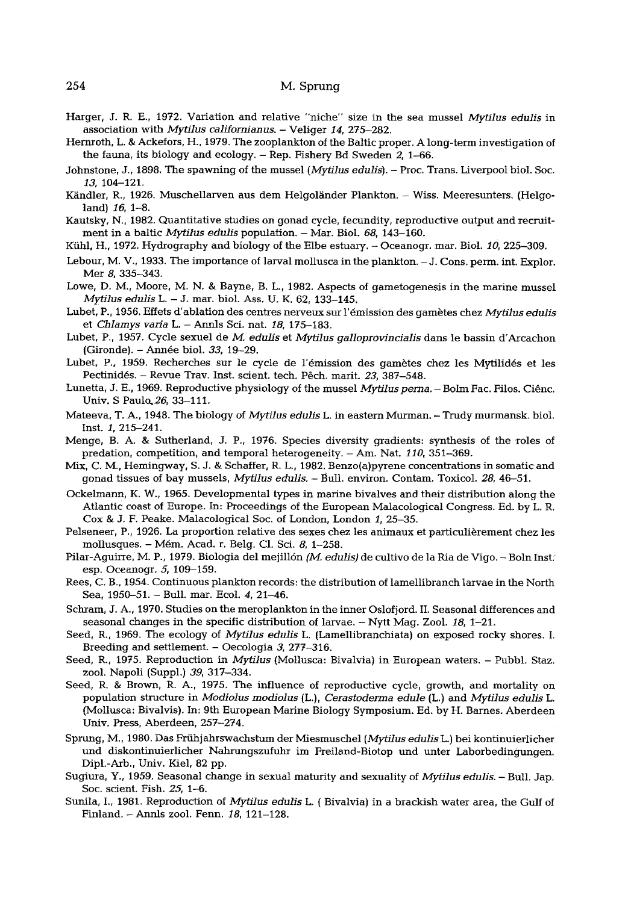### 254 M. Sprung

- Harger, J. R. E., 1972. Variation and relative "niche" size in the sea mussel *Mytilus edulis* in association with *Mytilus californianus.* - Veliger *14,* 275-282.
- Hernroth, L. & Ackefors, H., 1979. The zooplankton of the Baltic proper. A long-term investigation of the fauna, its biology and ecology. - Rep. Fishery Bd Sweden 2, 1-66.
- Johnstone, J., 1898, The spawning of the mussel *(Mytilus edulls).*  Proc. Trans. Liverpool biol. Soc. *13,* 104-121.
- Kändler, R., 1926. Muschellarven aus dem Helgoländer Plankton. Wiss. Meeresunters. (Helgoland) *16,* 1-8.
- Kautsky, N., 1982. Quantitative studies on gonad cycle, fecundity, reproductive output and recruitment in a baltic *Mytilus edulis* population. - Mar. Biol. *68,* 143-160.
- Kiihl, H., 1972. Hydrography and biology of the Elbe estuary. Oceanogr. mar. Biol. *10,* 225-309.
- Lebour, M. V., 1933. The importance of larval mollusca in the plankton. J. Cons. perm. int. Explor. Mer 8, 335-343.
- Lowe, D. M., Moore, M. N. & Bayne, B. L., 1982. Aspects of gametogenesis in the marine mussel *Mytilus edulis L. - J. mar.* biol. Ass. U. K. 62, 133-145.
- Lubet, P., 1956. Effets d'ablation des centres nerveux sur l'~mission des gametes chez *Mytilus edulis*  et *Chlamys varia* L. - Annls Sci. nat. *18,* 175-183.
- Lubet, P., 1957. Cycle sexuel de 3//. *edulis* et *Mytilus galloprovincialis* dans le bassin d'Arcachon (Gironde). - Annie biol. *33,* 19-29.
- Lubet, P., 1959. Recherches sur le cycle de l'émission des gamètes chez les Mytilidés et les Pectinidés. - Revue Trav. Inst. scient. tech. Pêch. marit. 23, 387-548.
- Lunetta, J. E., 1969. Reproductive physiology of the mussel *Mytilus perna.* Bolm Fac. Filos. Ciênc. Univ. S Paulo, 26, 33-111.
- Mateeva, T. A., 1948. The biology of *Mytilus edulis* L. in eastern Murman. Trudy murmansk, biol. Inst. 1, 215-241.
- Menge, B. A. & Sutherland, J. P., 1976. Species diversity gradients: synthesis of the roles of predation, competition, and temporal heterogeneity. - Am. Nat. *110,* 351-369.
- Mix, C. M., Hemingway, S. J. & Schaffer, R. L., 1982. Benzo(a)pyrene concentrations in somatic and gonad tissues of bay mussels, *Mytilus edulis.* - Bull. environ. Contam. Toxicol. 28, 46-51.
- Ockelmann, K. W., 1965. Developmental types in marine bivalves and their distribution along the Atlantic coast of Europe. In: Proceedings of the European Malacological Congress. Ed. by L. R. Cox & J. F. Peake. Malacological Soc. of London, London 1, 25-35.
- Pelseneer, P., 1926. La proportion relative des sexes chez les animaux et particulièrement chez les mollusques. - Mém. Acad. r. Belg. Cl. Sci. 8, 1-258.
- Pilar-Aguirre, M. P., 1979. Biologia del mejil16n *(M. edulis)* de cultivo de la Ria de Vigo. Boln Inst: esp. Oceanogr. 5, 109-159.
- Rees, C. B., 1954. Continuous plankton records: the distribution of lamellibranch tarvae in the North Sea, 1950-51. - Bull. mar. Ecol. 4, 21-46.
- Schram, J. A., 1970, Studies on the meroplankton in the inner Oslofjord. II. Seasonal differences and seasonal changes in the specific distribution of larvae. - Nytt Mag. Zool. *18,* 1-21.
- Seed, R., 1969. The ecology of *Mytilus edulis* L. (Lamellibranchiata) on exposed rocky shores. I. Breeding and settlement. - Oecologia 3, 277-316.
- Seed, R., 1975. Reproduction in *Mytilus* (Mollusca: Bivalvia) in European waters. Pubbl. Staz. zoel. Napoli (Suppl.) *39,* 317-334.
- Seed, R. & Brown, R. A., 1975. The influence of reproductive cycle, growth, and mortality on population structure in *Modiolus modiolus* {L.), *Cerastoderrna edule* (L.) and *Mytilus edulis L.*  (Mollusca: Bivalvis). In: 9th European Marine Biology Symposium. Ed. by H. Barnes. Aberdeen Univ. Press, Aberdeen, 257-274.
- Sprung, M., 1980. Das Prfihjahrswachstum der Miesmuschel *(Mytllus edulls* L.) bei kontinuierlicher und diskontinuierlicher Nahrungszufuhr im Freiland-Biotop und unter Laborbedingungen. Dipl.-Arb., Univ. Kiel, 82 pp.
- Sugiura, Y., 1959. Seasonal change in sexual maturity and sexuality of *Mytilus edulis.* Bull. Jap. Soc. scient. Fish. *25, 1--6.*
- Sunila, I., 1981. Reproduction of *Mytilus edulis* L. (Bivalvia) in a brackish water area, the Gulf of Finland. - Annls zool. Fenn. *18,* 121-128.